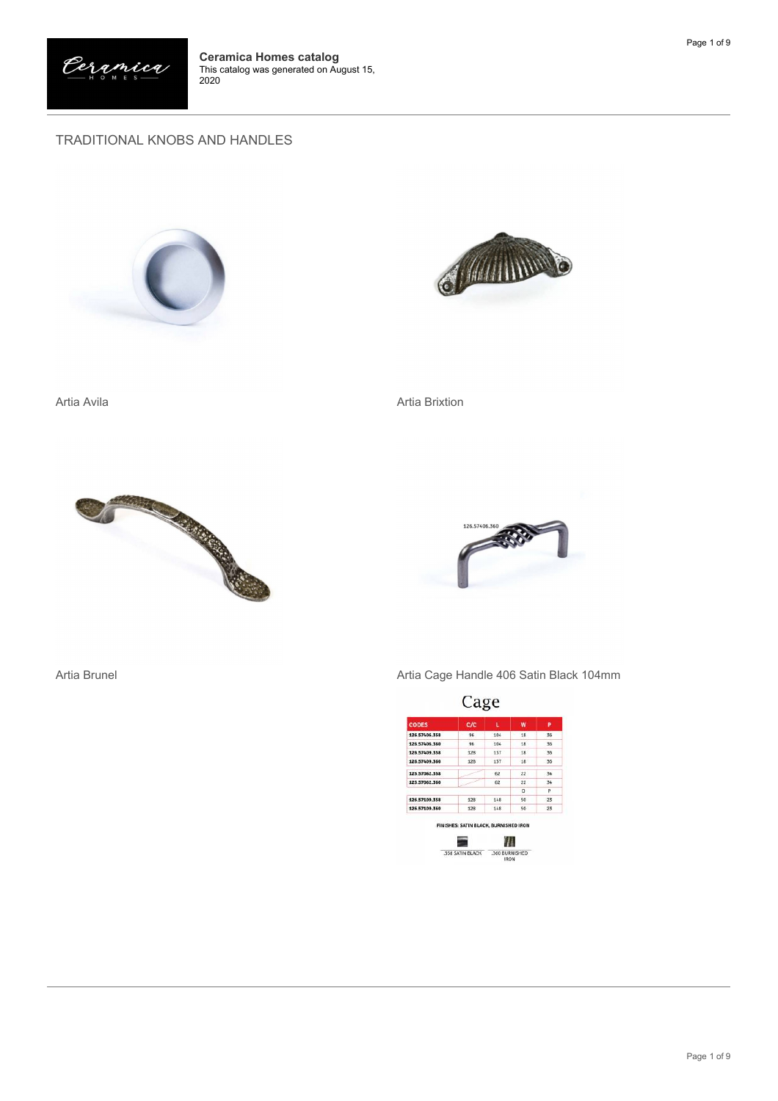

## TRADITIONAL KNOBS AND HANDLES





Artia Avila Artia Brixtion





Artia Brunel **Artia Cage Handle 406 Satin Black 104mm** 

| <b>CODES</b>  | C/C |     | W  | P  |
|---------------|-----|-----|----|----|
| 126.57406.358 | 96  | 104 | 18 | 36 |
| 126,57406,360 | 96  | 104 | 18 | 36 |
| 126.57409.358 | 128 | 137 | 18 | 36 |
| 126.57409.360 | 128 | 137 | 18 | 36 |
| 125.57062.358 |     | 62  | 22 | 34 |
| 125,57062,360 |     | 62  | 22 | 34 |
|               |     |     | D  | p  |
| 126.57109.358 | 128 | 148 | 50 | 23 |
| 126.57109.360 | 128 | 148 | 50 | 23 |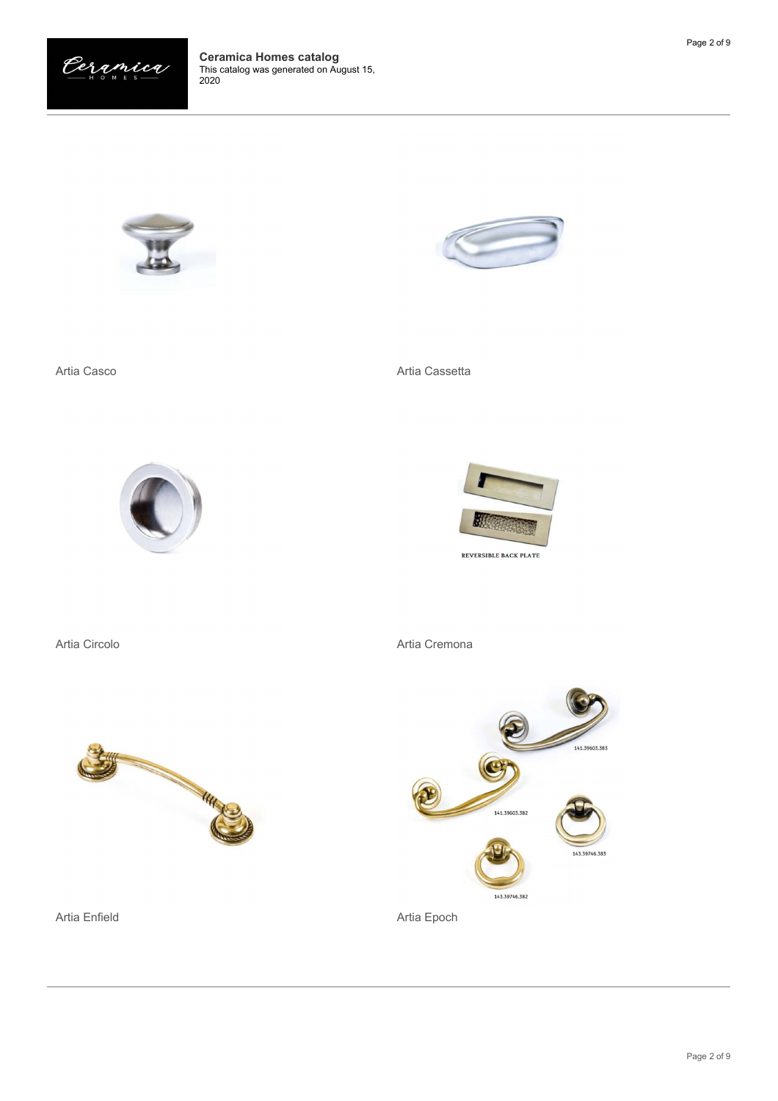





Artia Enfield **Artia Expedition Artia Epoch** 

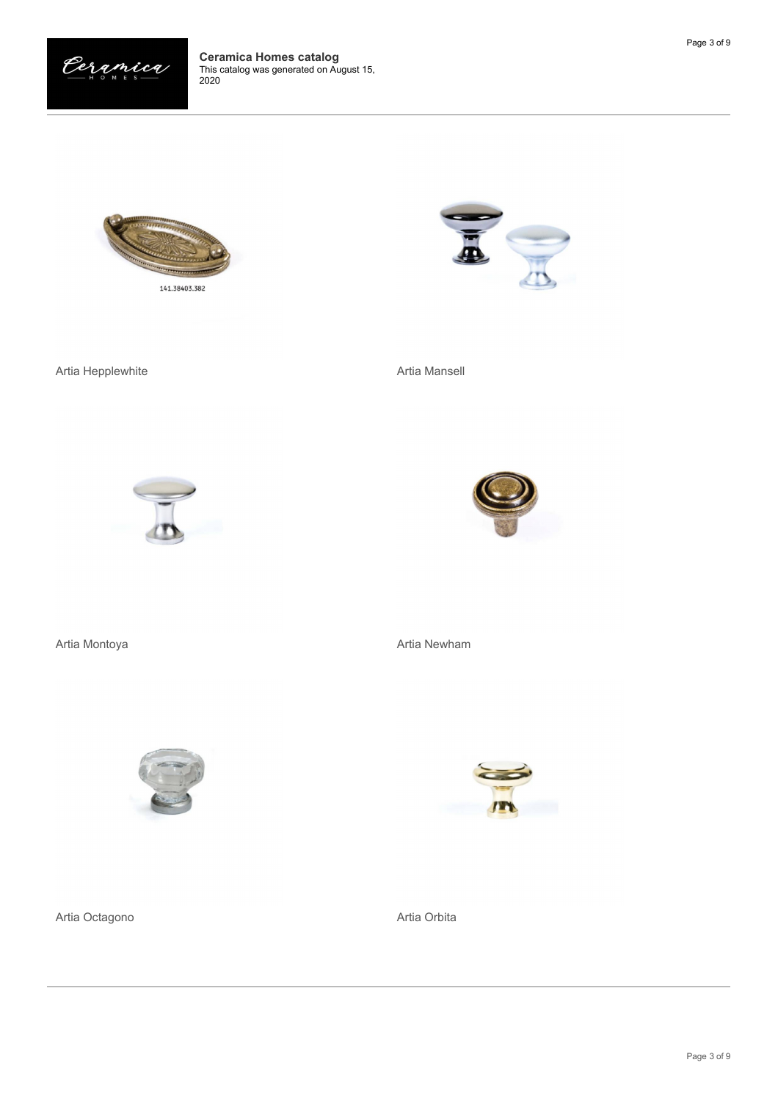











Artia Montoya **Artia Newham** 



Artia Octagono **Artia Orbita** 

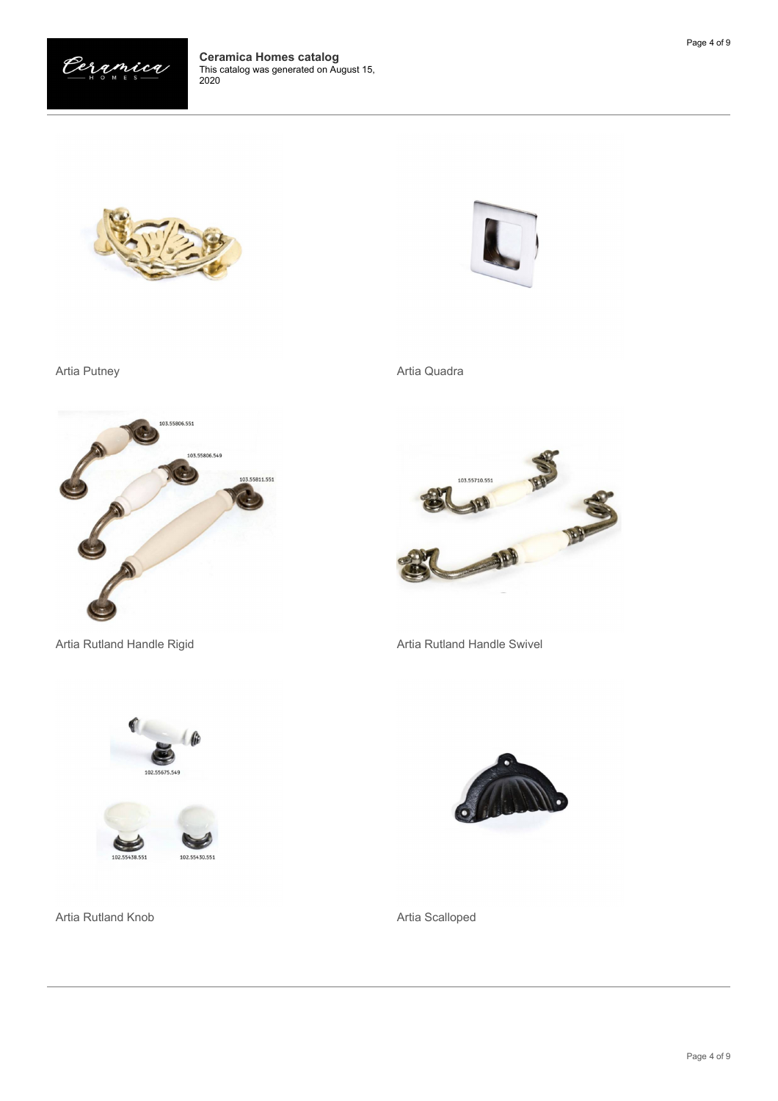







Artia Putney **Artia Quadra** Artia Quadra



Artia Rutland Handle Rigid **Artia Rutland Handle Swivel** Artia Rutland Handle Swivel







Artia Rutland Knob **Artia Scalloped** Artia Scalloped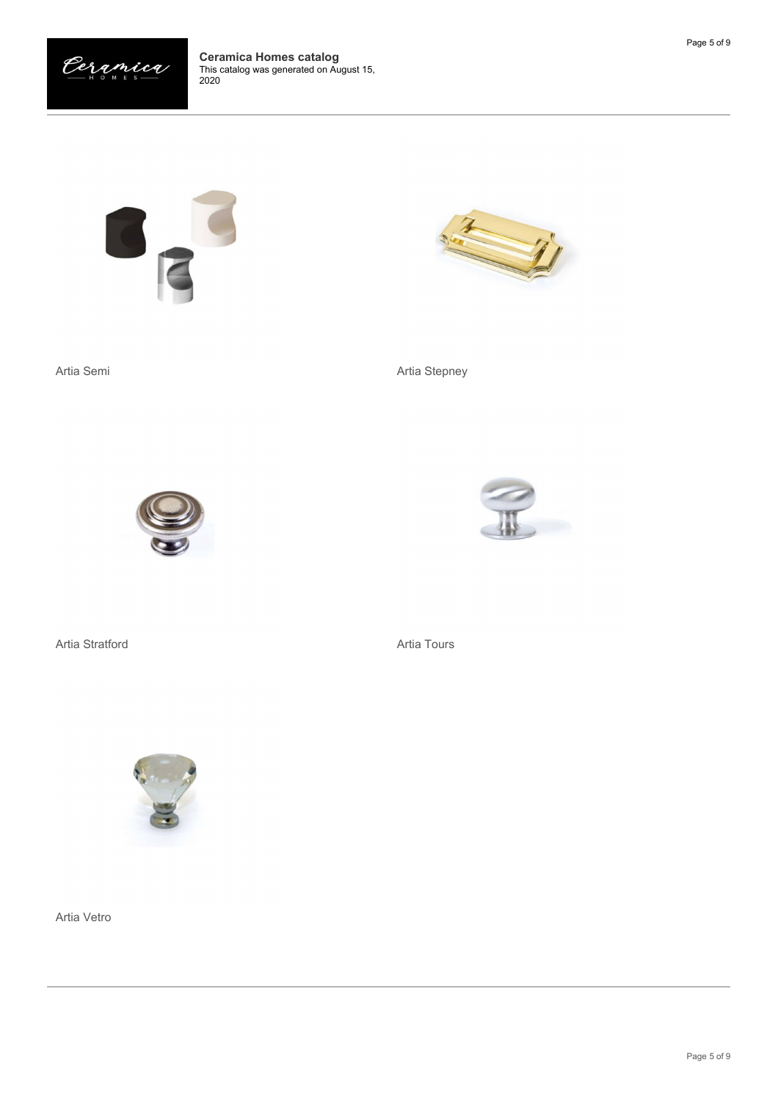





Artia Semi **Artia Stepney** 







Artia Stratford **Artia Tours** Artia Tours



Artia Vetro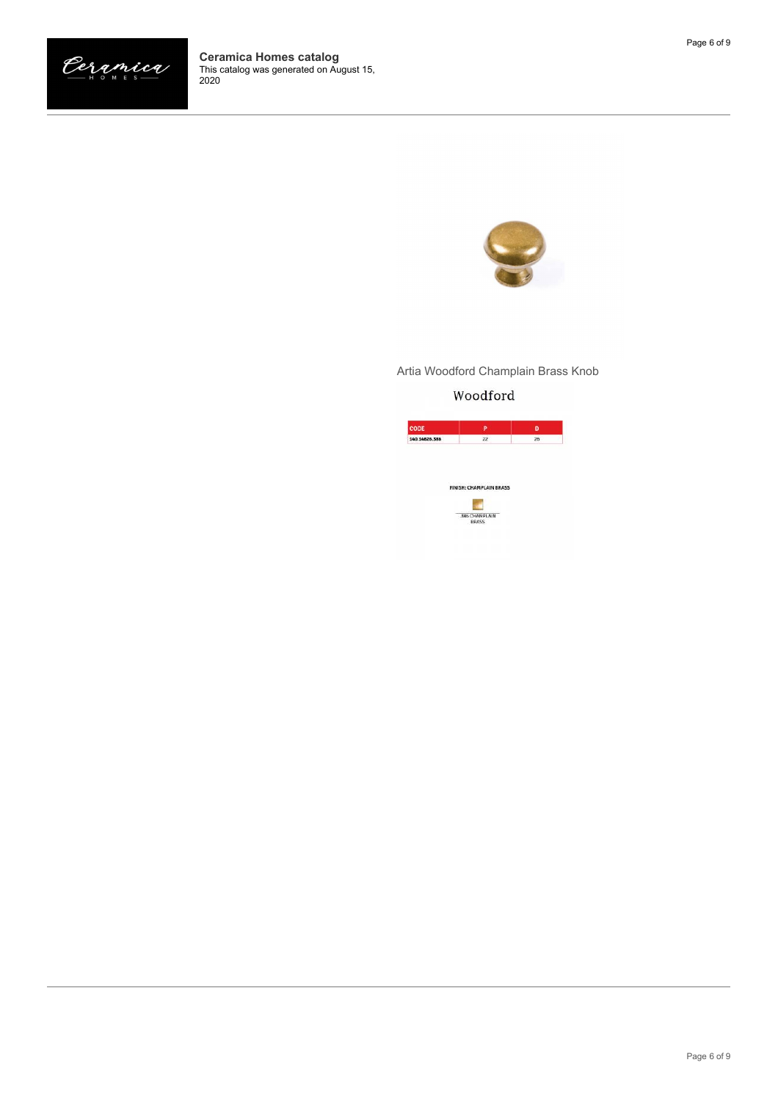

## Artia Woodford Champlain Brass Knob

## Woodford

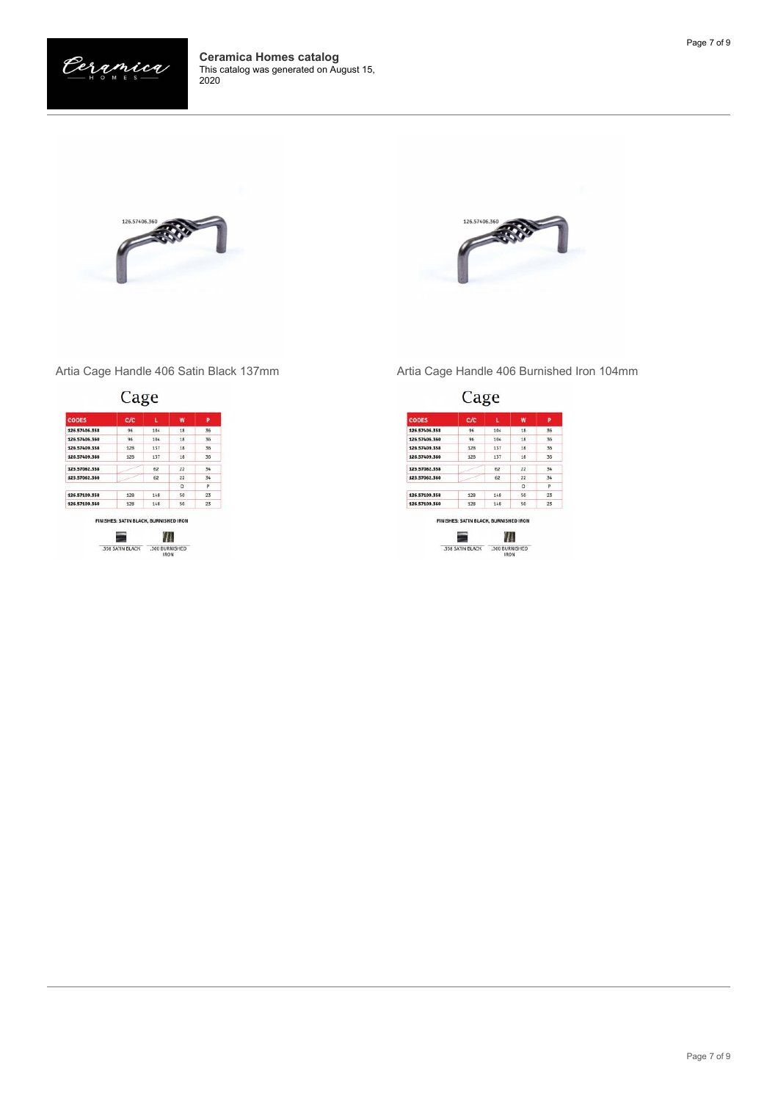







Artia Cage Handle 406 Satin Black 137mm Artia Cage Handle 406 Burnished Iron 104mm

| <b>CODES</b>  | C/C | L   | w  | P  |
|---------------|-----|-----|----|----|
| 126.57406.358 | 96  | 104 | 18 | 36 |
| 126,57406,360 | 96  | 104 | 18 | 36 |
| 126.57409.358 | 128 | 137 | 18 | 36 |
| 126.57409.360 | 128 | 137 | 18 | 36 |
| 125.57062.358 |     | 62  | 22 | 34 |
| 125.57062.360 |     | 62  | 22 | 34 |
|               |     |     | D  | p  |
| 126.57109.358 | 128 | 148 | 50 | 23 |
| 126.57109.360 | 128 | 148 | 50 | 23 |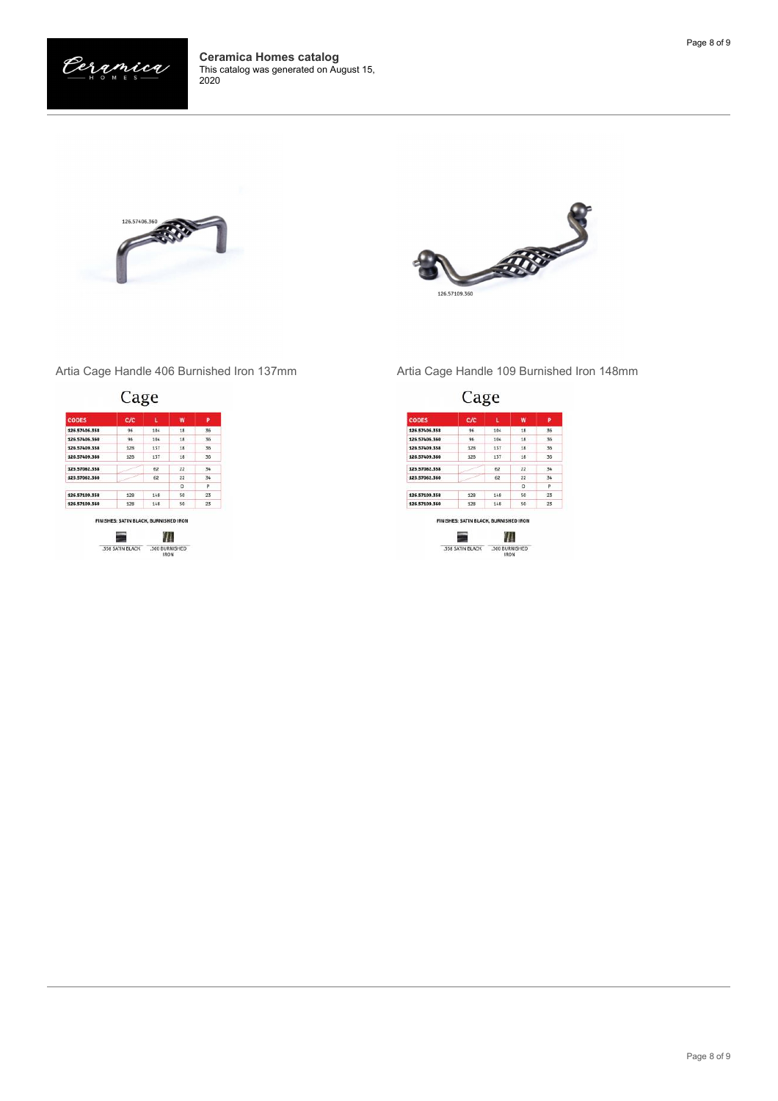





| <b>CODES</b>  | C/C |     | W  | P  |
|---------------|-----|-----|----|----|
| 126,57406,358 | 96  | 104 | 18 | 36 |
| 126,57406,360 | 96  | 104 | 18 | 36 |
| 126.57409.358 | 128 | 137 | 18 | 36 |
| 126.57409.360 | 128 | 137 | 18 | 36 |
| 125.57062.358 |     | 62  | 22 | 34 |
| 125,57062,360 |     | 62  | 22 | 34 |
|               |     |     | D. | p  |
| 126.57109.358 | 128 | 148 | 50 | 23 |
| 126.57109.360 | 128 | 148 | 50 | 23 |

Artia Cage Handle 406 Burnished Iron 137mm Artia Cage Handle 109 Burnished Iron 148mm

| <b>CODES</b>  | C/C |     | W  | P  |
|---------------|-----|-----|----|----|
| 126.57406.358 | 96  | 104 | 18 | 36 |
| 126,57406,360 | 96  | 104 | 18 | 36 |
| 126.57409.358 | 128 | 137 | 18 | 36 |
| 126.57409.360 | 128 | 137 | 18 | 36 |
| 125.57062.358 |     | 62  | 22 | 34 |
| 125.57062.360 |     | 62  | 22 | 34 |
|               |     |     | D. | p  |
| 126.57109.358 | 128 | 148 | 50 | 23 |
| 126.57109.360 | 128 | 148 | 50 | 23 |